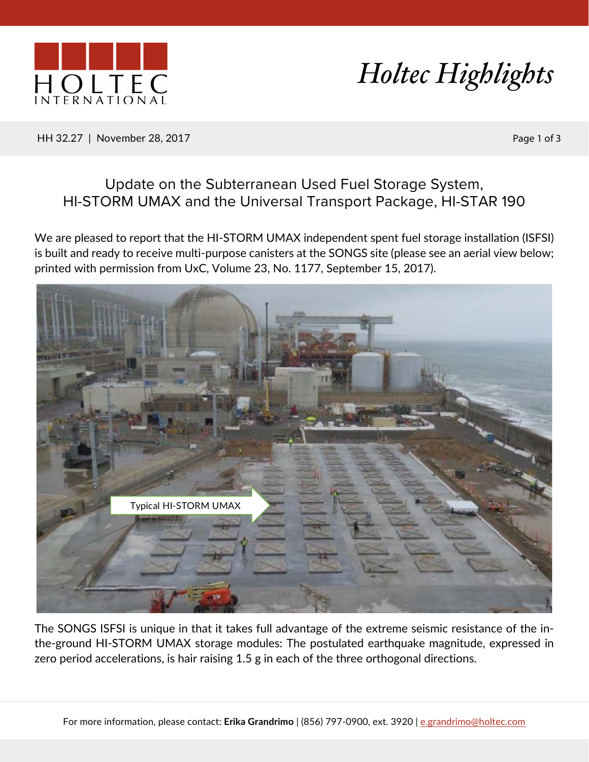



HH 32.27 | November 28, 2017 | Page 1 of 3

## Update on the Subterranean Used Fuel Storage System, HI-STORM UMAX and the Universal Transport Package, HI-STAR 190

We are pleased to report that the HI-STORM UMAX independent spent fuel storage installation (ISFSI) is built and ready to receive multi-purpose canisters at the SONGS site (please see an aerial view below; printed with permission from UxC, Volume 23, No. 1177, September 15, 2017).



The SONGS ISFSI is unique in that it takes full advantage of the extreme seismic resistance of the inthe-ground HI-STORM UMAX storage modules: The postulated earthquake magnitude, expressed in zero period accelerations, is hair raising 1.5 g in each of the three orthogonal directions.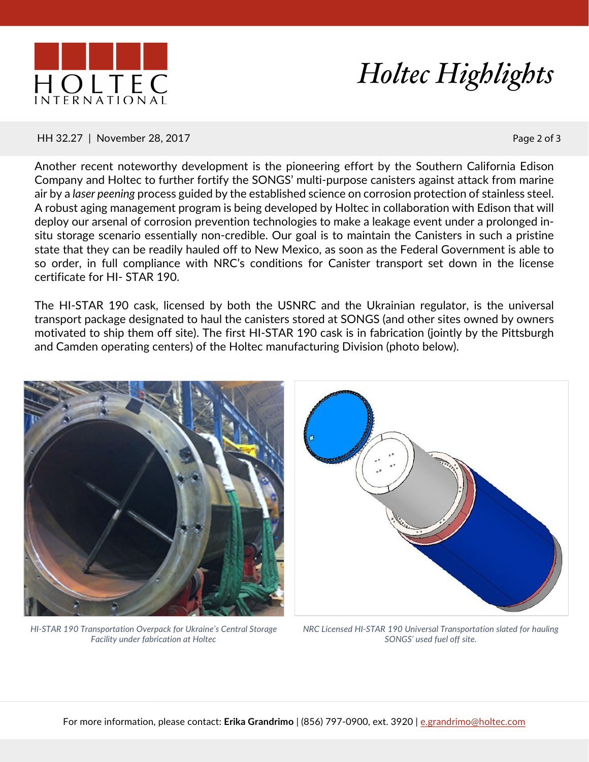



## HH 32.27 | November 28, 2017 | Page 2 of 3

Another recent noteworthy development is the pioneering effort by the Southern California Edison Company and Holtec to further fortify the SONGS' multi-purpose canisters against attack from marine air by a *laser peening* process guided by the established science on corrosion protection of stainless steel. A robust aging management program is being developed by Holtec in collaboration with Edison that will deploy our arsenal of corrosion prevention technologies to make a leakage event under a prolonged insitu storage scenario essentially non-credible. Our goal is to maintain the Canisters in such a pristine state that they can be readily hauled off to New Mexico, as soon as the Federal Government is able to so order, in full compliance with NRC's conditions for Canister transport set down in the license certificate for HI- STAR 190.

The HI-STAR 190 cask, licensed by both the USNRC and the Ukrainian regulator, is the universal transport package designated to haul the canisters stored at SONGS (and other sites owned by owners motivated to ship them off site). The first HI-STAR 190 cask is in fabrication (jointly by the Pittsburgh and Camden operating centers) of the Holtec manufacturing Division (photo below).



*HI-STAR 190 Transportation Overpack for Ukraine's Central Storage Facility under fabrication at Holtec*



*NRC Licensed HI-STAR 190 Universal Transportation slated for hauling SONGS' used fuel off site.*